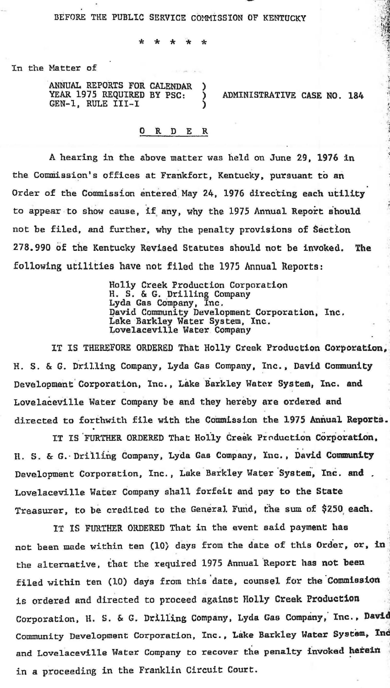BEFORE THE PUBLIC SERVICE COMMISSION OF KENTUCKY

\* \* \* \* \*

In the Matter of

ANNUAL REPORTS FOR CALENDAR ) YEAR 1975 REQUIRED BY PSC: GEN-1, RULE III-I

ADMINISTRATIVE CASE NO. 184

•'. · '

## 0 R D E R

A hearing in the above matter was held on June 29, 1976 in the Commission's offices at Frankfort, Kentucky, pursuant to an Order of the Commission entered May 24, 1976 directing each utility to appear to show cause, if any, why the 1975 Annual Report should not be filed, and further, why the penalty provisions of Section 278.990 of the Kentucky Revised Statutes should not be invoked. The following utilities have not filed the 1975 Annual Reports:

> Holly Creek Production Corporation H. S. & G. Uri lling Company Lyda Gas Company, Inc. David Community Development Corporation, Inc. Lake Barkley Water System, Inc. Lovelaceville Water Company

IT IS THEREFORE ORDERED That Holly Creek Production Corporation, H. S. & G. Drilling Company, Lyda Gas Company, Inc., David Community Development Corporation, Inc., Lake Barkley Water System, Inc. and Lovelaceville Water Company be and they hereby are ordered and directed to forthwith file with the Commission the 1975 Annual Reports.

IT IS FURTHER ORDERED That Holly Creek Production Corporation. II. s. & G.-Drilling Company, Lyda Gas Company, Inc., David Community Development Corporation, Inc., Lake Barkley Water System, Inc. and. Lovelaceville Water Company shall forfeit and pay to the State Treasurer, to be credited to the General. Fund, the sum of \$250 each.

IT IS FURTHER ORDERED That in the event said payment has not been made within ten (10) days from the date of this Order, or, in the alternative, that the required 1975 Annual 'Report has not been filed within ten (10) days from this date, counsel for the Commission is ordered and directed to proceed against Holly Creek Production Corporation, H. S. & G. Drilling Company, Lyda Gas Company, Inc., David Community Development Corporation, Inc., Lake Barkley Water System, Inc and Lovelaceville Water Company to recover the penalty invoked herein in a proceeding in the Franklin Circuit Court.